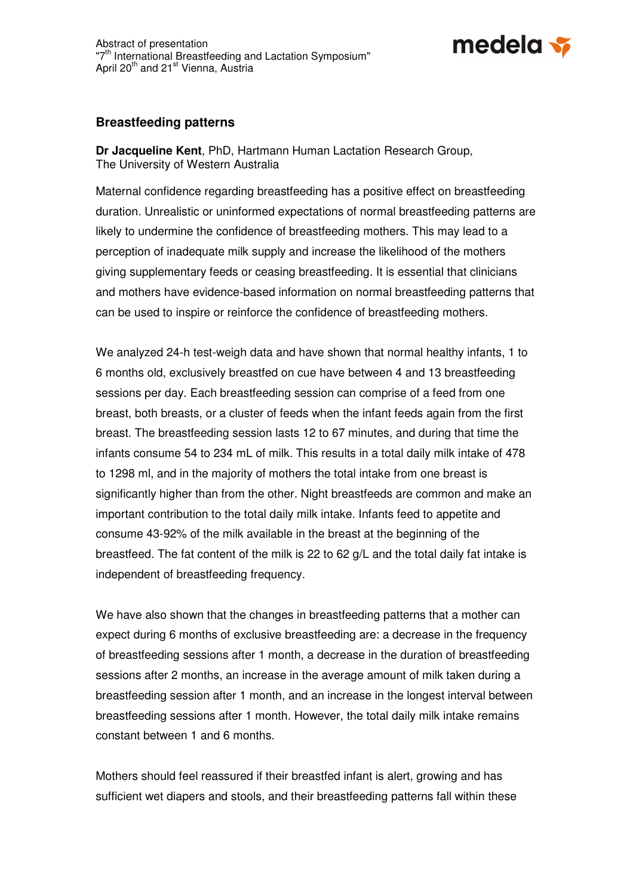

## **Breastfeeding patterns**

**Dr Jacqueline Kent**, PhD, Hartmann Human Lactation Research Group, The University of Western Australia

Maternal confidence regarding breastfeeding has a positive effect on breastfeeding duration. Unrealistic or uninformed expectations of normal breastfeeding patterns are likely to undermine the confidence of breastfeeding mothers. This may lead to a perception of inadequate milk supply and increase the likelihood of the mothers giving supplementary feeds or ceasing breastfeeding. It is essential that clinicians and mothers have evidence-based information on normal breastfeeding patterns that can be used to inspire or reinforce the confidence of breastfeeding mothers.

We analyzed 24-h test-weigh data and have shown that normal healthy infants, 1 to 6 months old, exclusively breastfed on cue have between 4 and 13 breastfeeding sessions per day. Each breastfeeding session can comprise of a feed from one breast, both breasts, or a cluster of feeds when the infant feeds again from the first breast. The breastfeeding session lasts 12 to 67 minutes, and during that time the infants consume 54 to 234 mL of milk. This results in a total daily milk intake of 478 to 1298 ml, and in the majority of mothers the total intake from one breast is significantly higher than from the other. Night breastfeeds are common and make an important contribution to the total daily milk intake. Infants feed to appetite and consume 43-92% of the milk available in the breast at the beginning of the breastfeed. The fat content of the milk is 22 to 62 g/L and the total daily fat intake is independent of breastfeeding frequency.

We have also shown that the changes in breastfeeding patterns that a mother can expect during 6 months of exclusive breastfeeding are: a decrease in the frequency of breastfeeding sessions after 1 month, a decrease in the duration of breastfeeding sessions after 2 months, an increase in the average amount of milk taken during a breastfeeding session after 1 month, and an increase in the longest interval between breastfeeding sessions after 1 month. However, the total daily milk intake remains constant between 1 and 6 months.

Mothers should feel reassured if their breastfed infant is alert, growing and has sufficient wet diapers and stools, and their breastfeeding patterns fall within these